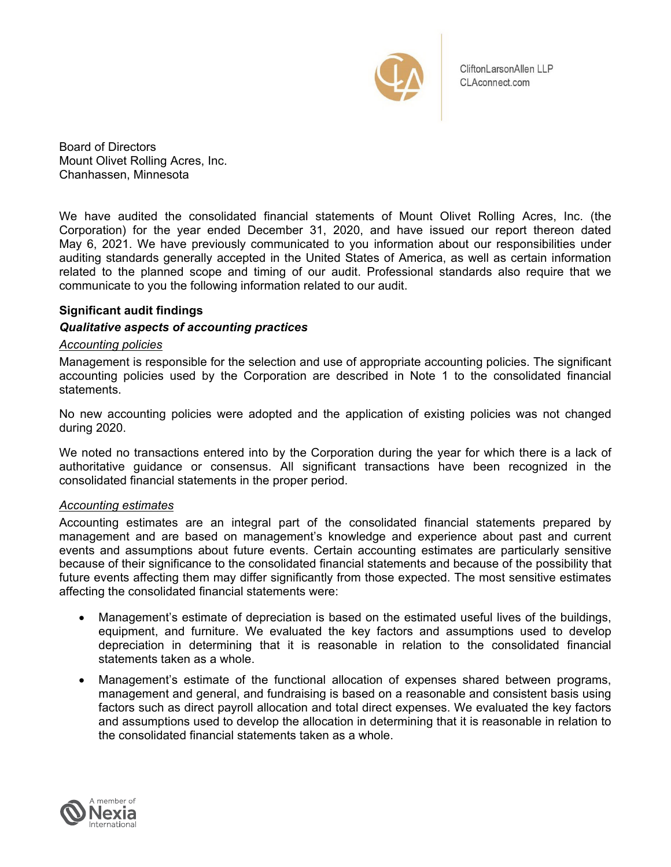

CliftonLarsonAllen LLP CLAconnect.com

Board of Directors Mount Olivet Rolling Acres, Inc. Chanhassen, Minnesota

We have audited the consolidated financial statements of Mount Olivet Rolling Acres, Inc. (the Corporation) for the year ended December 31, 2020, and have issued our report thereon dated May 6, 2021. We have previously communicated to you information about our responsibilities under auditing standards generally accepted in the United States of America, as well as certain information related to the planned scope and timing of our audit. Professional standards also require that we communicate to you the following information related to our audit.

# **Significant audit findings**

## *Qualitative aspects of accounting practices*

#### *Accounting policies*

Management is responsible for the selection and use of appropriate accounting policies. The significant accounting policies used by the Corporation are described in Note 1 to the consolidated financial statements.

No new accounting policies were adopted and the application of existing policies was not changed during 2020.

We noted no transactions entered into by the Corporation during the year for which there is a lack of authoritative guidance or consensus. All significant transactions have been recognized in the consolidated financial statements in the proper period.

#### *Accounting estimates*

Accounting estimates are an integral part of the consolidated financial statements prepared by management and are based on management's knowledge and experience about past and current events and assumptions about future events. Certain accounting estimates are particularly sensitive because of their significance to the consolidated financial statements and because of the possibility that future events affecting them may differ significantly from those expected. The most sensitive estimates affecting the consolidated financial statements were:

- Management's estimate of depreciation is based on the estimated useful lives of the buildings, equipment, and furniture. We evaluated the key factors and assumptions used to develop depreciation in determining that it is reasonable in relation to the consolidated financial statements taken as a whole.
- Management's estimate of the functional allocation of expenses shared between programs, management and general, and fundraising is based on a reasonable and consistent basis using factors such as direct payroll allocation and total direct expenses. We evaluated the key factors and assumptions used to develop the allocation in determining that it is reasonable in relation to the consolidated financial statements taken as a whole.

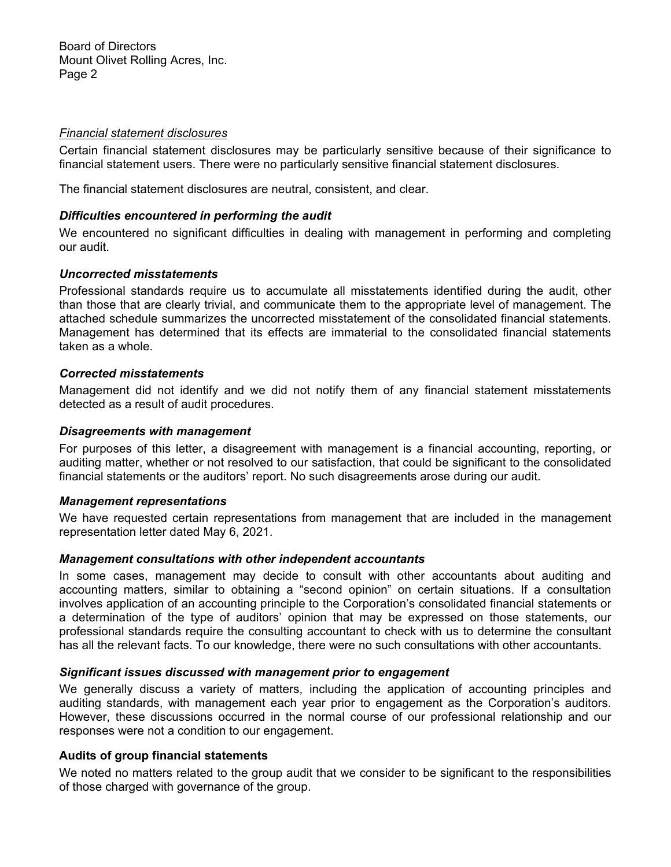Board of Directors Mount Olivet Rolling Acres, Inc. Page 2

#### *Financial statement disclosures*

Certain financial statement disclosures may be particularly sensitive because of their significance to financial statement users. There were no particularly sensitive financial statement disclosures.

The financial statement disclosures are neutral, consistent, and clear.

#### *Difficulties encountered in performing the audit*

We encountered no significant difficulties in dealing with management in performing and completing our audit.

#### *Uncorrected misstatements*

Professional standards require us to accumulate all misstatements identified during the audit, other than those that are clearly trivial, and communicate them to the appropriate level of management. The attached schedule summarizes the uncorrected misstatement of the consolidated financial statements. Management has determined that its effects are immaterial to the consolidated financial statements taken as a whole.

## *Corrected misstatements*

Management did not identify and we did not notify them of any financial statement misstatements detected as a result of audit procedures.

#### *Disagreements with management*

For purposes of this letter, a disagreement with management is a financial accounting, reporting, or auditing matter, whether or not resolved to our satisfaction, that could be significant to the consolidated financial statements or the auditors' report. No such disagreements arose during our audit.

#### *Management representations*

We have requested certain representations from management that are included in the management representation letter dated May 6, 2021.

#### *Management consultations with other independent accountants*

In some cases, management may decide to consult with other accountants about auditing and accounting matters, similar to obtaining a "second opinion" on certain situations. If a consultation involves application of an accounting principle to the Corporation's consolidated financial statements or a determination of the type of auditors' opinion that may be expressed on those statements, our professional standards require the consulting accountant to check with us to determine the consultant has all the relevant facts. To our knowledge, there were no such consultations with other accountants.

#### *Significant issues discussed with management prior to engagement*

We generally discuss a variety of matters, including the application of accounting principles and auditing standards, with management each year prior to engagement as the Corporation's auditors. However, these discussions occurred in the normal course of our professional relationship and our responses were not a condition to our engagement.

#### **Audits of group financial statements**

We noted no matters related to the group audit that we consider to be significant to the responsibilities of those charged with governance of the group.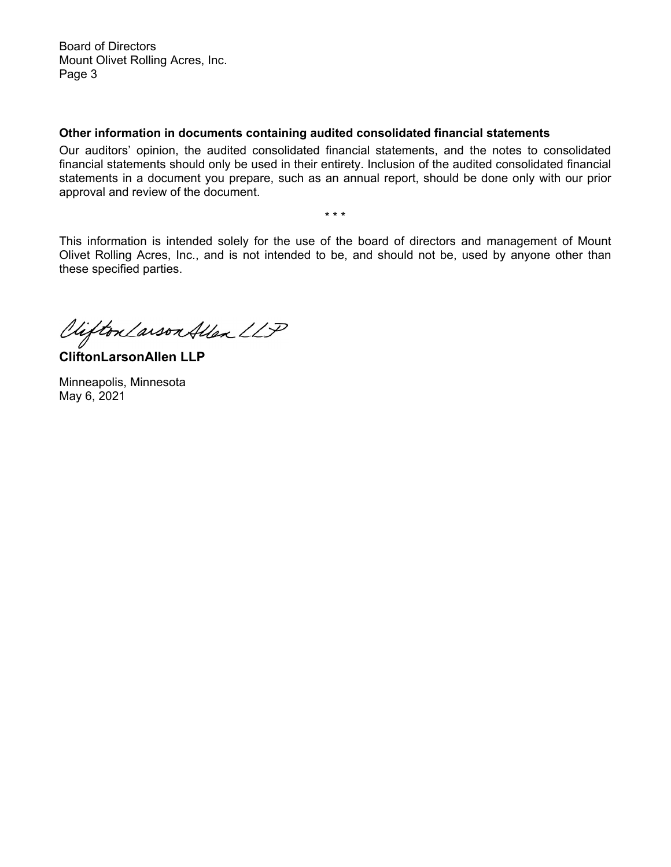Board of Directors Mount Olivet Rolling Acres, Inc. Page 3

# **Other information in documents containing audited consolidated financial statements**

Our auditors' opinion, the audited consolidated financial statements, and the notes to consolidated financial statements should only be used in their entirety. Inclusion of the audited consolidated financial statements in a document you prepare, such as an annual report, should be done only with our prior approval and review of the document.

\* \* \*

This information is intended solely for the use of the board of directors and management of Mount Olivet Rolling Acres, Inc., and is not intended to be, and should not be, used by anyone other than these specified parties.

Viifton Larson Allen LLP

**CliftonLarsonAllen LLP** 

Minneapolis, Minnesota May 6, 2021